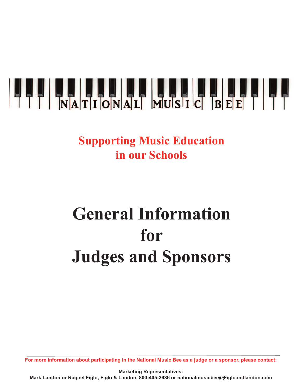

## **Supporting Music Education in our Schools**

## **General Information for Judges and Sponsors**

For more information about participating in the National Music Bee as a judge or a sponsor, please contact:

**Marketing Representatives: Mark Landon or Raquel Figlo, Figlo & Landon, 800-405-2636 or nationalmusicbee@Figloandlandon.com**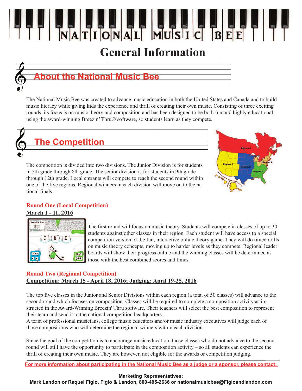### **General Information**



### **About the National Music Bee**

The National Music Bee was created to advance music education in both the United States and Canada and to build music literacy while giving kids the experience and thrill of creating their own music. Consisting of three exciting rounds, its focus is on music theory and composition and has been designed to be both fun and highly educational, using the award-winning Breezin' Thru® software, so students learn as they compete.



The competition is divided into two divisions. The Junior Division is for students in 5th grade through 8th grade. The senior division is for students in 9th grade through 12th grade. Local entrants will compete to reach the second round within one of the five regions. Regional winners in each division will move on to the national finals.



#### **Round One (Local Competition)**

#### **March 1 - 11, 2016**



The first round will focus on music theory. Students will compete in classes of up to 30 students against other classes in their region. Each student will have access to a special competition version of the fun, interactive online theory game. They will do timed drills on music theory concepts, moving up to harder levels as they compete. Regional leader boards will show their progress online and the winning classes will be determined as those with the best combined scores and times.

#### **Round Two (Regional Competition) Competition: March 15 - April 18, 2016; Judging: April 19-25, 2016**

The top five classes in the Junior and Senior Divisions within each region (a total of 50 classes) will advance to the second round which focuses on composition. Classes will be required to complete a composition activity as instructed in the Award-Winning Breezin' Thru software. Their teachers will select the best composition to represent their team and send it to the national competition headquarters.

A team of professional musicians, college music educators and/or music industry executives will judge each of those compositions who will determine the regional winners within each division.

Since the goal of the competition is to encourage music education, those classes who do not advance to the second round will still have the opportunity to participate in the composition activity – so all students can experience the thrill of creating their own music. They are however, not eligible for the awards or competition judging.

For more information about participating in the National Music Bee as a judge or a sponsor, please contact:

#### **Marketing Representatives:**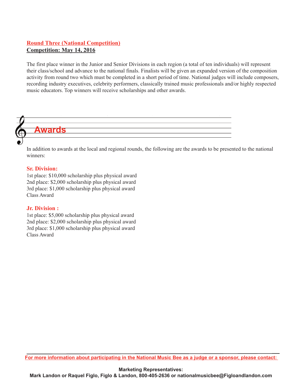#### **Round Three (National Competition) Competition: May 14, 2016**

The first place winner in the Junior and Senior Divisions in each region (a total of ten individuals) will represent their class/school and advance to the national finals. Finalists will be given an expanded version of the composition activity from round two which must be completed in a short period of time. National judges will include composers, recording industry executives, celebrity performers, classically trained music professionals and/or highly respected music educators. Top winners will receive scholarships and other awards.

## **Awards**

In addition to awards at the local and regional rounds, the following are the awards to be presented to the national winners:

#### **Sr. Division:**

1st place: \$10,000 scholarship plus physical award 2nd place: \$2,000 scholarship plus physical award 3rd place: \$1,000 scholarship plus physical award Class Award

#### **Jr. Division :**

1st place: \$5,000 scholarship plus physical award 2nd place: \$2,000 scholarship plus physical award 3rd place: \$1,000 scholarship plus physical award Class Award

For more information about participating in the National Music Bee as a judge or a sponsor, please contact:

**Marketing Representatives: Mark Landon or Raquel Figlo, Figlo & Landon, 800-405-2636 or nationalmusicbee@Figloandlandon.com**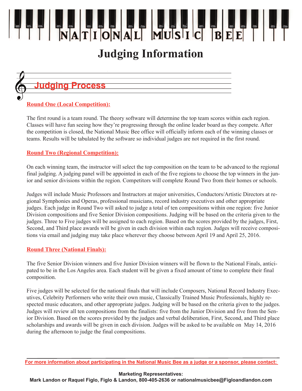### **Judging Information**

## **Judging Process**

#### **Round One (Local Competition):**

The first round is a team round. The theory software will determine the top team scores within each region. Classes will have fun seeing how they're progressing through the online leader board as they compete. After the competition is closed, the National Music Bee office will officially inform each of the winning classes or teams. Results will be tabulated by the software so individual judges are not required in the first round.

#### **Round Two (Regional Competition):**

On each winning team, the instructor will select the top composition on the team to be advanced to the regional final judging. A judging panel will be appointed in each of the five regions to choose the top winners in the junior and senior divisions within the region. Competitors will complete Round Two from their homes or schools.

Judges will include Music Professors and Instructors at major universities, Conductors/Artistic Directors at regional Symphonies and Operas, professional musicians, record industry executives and other appropriate judges. Each judge in Round Two will asked to judge a total of ten compositions within one region: five Junior Division compositions and five Senior Division compositions. Judging will be based on the criteria given to the judges. Three to Five judges will be assigned to each region. Based on the scores provided by the judges, First, Second, and Third place awards will be given in each division within each region. Judges will receive compositions via email and judging may take place wherever they choose between April 19 and April 25, 2016.

#### **Round Three (National Finals):**

The five Senior Division winners and five Junior Division winners will be flown to the National Finals, anticipated to be in the Los Angeles area. Each student will be given a fixed amount of time to complete their final composition.

Five judges will be selected for the national finals that will include Composers, National Record Industry Executives, Celebrity Performers who write their own music, Classically Trained Music Professionals, highly respected music educators, and other appropriate judges. Judging will be based on the criteria given to the judges. Judges will review all ten compositions from the finalists: five from the Junior Division and five from the Senior Division. Based on the scores provided by the judges and verbal deliberation, First, Second, and Third place scholarships and awards will be given in each division. Judges will be asked to be available on May 14, 2016 during the afternoon to judge the final compositions.

#### **Marketing Representatives:**

For more information about participating in the National Music Bee as a judge or a sponsor, please contact: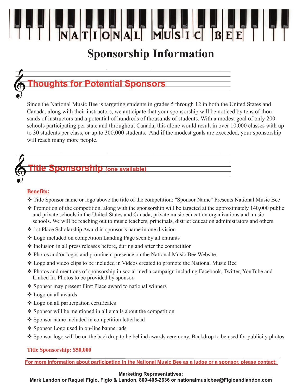### **Sponsorship Information**

### **Thoughts for Potential Sponsors**

Since the National Music Bee is targeting students in grades 5 through 12 in both the United States and Canada, along with their instructors, we anticipate that your sponsorship will be noticed by tens of thousands of instructors and a potential of hundreds of thousands of students. With a modest goal of only 200 schools participating per state and throughout Canada, this alone would result in over 10,000 classes with up to 30 students per class, or up to 300,000 students. And if the modest goals are exceeded, your sponsorship will reach many more people.

#### **Title Sponsorship (one available)**

#### **Benefits:**

- v Title Sponsor name or logo above the title of the competition: "Sponsor Name" Presents National Music Bee
- $\cdot$  Promotion of the competition, along with the sponsorship will be targeted at the approximately 140,000 public and private schools in the United States and Canada, private music education organizations and music schools. We will be reaching out to music teachers, principals, district education administrators and others.
- 1st Place Scholarship Award in sponsor's name in one division
- v Logo included on competition Landing Page seen by all entrants
- $\triangle$  Inclusion in all press releases before, during and after the competition
- v Photos and/or logos and prominent presence on the National Music Bee Website.
- v Logo and video clips to be included in Videos created to promote the National Music Bee
- v Photos and mentions of sponsorship in social media campaign including Facebook, Twitter, YouTube and Linked In. Photos to be provided by sponsor.
- \* Sponsor may present First Place award to national winners
- v Logo on all awards
- $\triangle$  Logo on all participation certificates
- $\triangle$  Sponsor will be mentioned in all emails about the competition
- ❖ Sponsor name included in competition letterhead
- ❖ Sponsor Logo used in on-line banner ads
- v Sponsor logo will be on the backdrop to be behind awards ceremony. Backdrop to be used for publicity photos

#### **Title Sponsorship: \$50,000**

For more information about participating in the National Music Bee as a judge or a sponsor, please contact:

#### **Marketing Representatives:**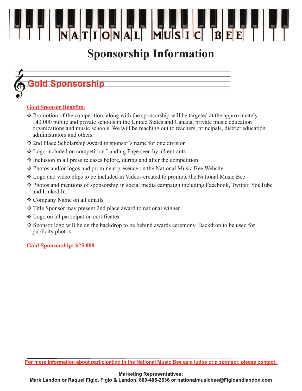## **Sponsorship Information**

## **Gold Sponsorship**

#### **Gold Sponsor Benefits:**

- $\triangle$  Promotion of the competition, along with the sponsorship will be targeted at the approximately 140,000 public and private schools in the United States and Canada, private music education organizations and music schools. We will be reaching out to teachers, principals, district education administrators and others.
- **❖** 2nd Place Scholarship Award in sponsor's name for one division
- v Logo included on competition Landing Page seen by all entrants
- $\cdot$  Inclusion in all press releases before, during and after the competition
- v Photos and/or logos and prominent presence on the National Music Bee Website.
- v Logo and video clips to be included in Videos created to promote the National Music Bee
- v Photos and mentions of sponsorship in social media campaign including Facebook, Twitter, YouTube and Linked In.
- **❖ Company Name on all emails**
- $\cdot$  Title Sponsor may present 2nd place award to national winner
- $\triangle$  Logo on all participation certificates
- Sponsor logo will be on the backdrop to be behind awards ceremony. Backdrop to be used for publicity photos

#### **Gold Sponsorship: \$25,000**

For more information about participating in the National Music Bee as a judge or a sponsor, please contact:

#### **Marketing Representatives:**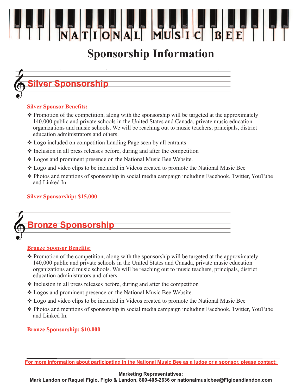## **Sponsorship Information**

## **Silver Sponsorship**

#### **Silver Sponsor Benefits:**

- $\triangle$  Promotion of the competition, along with the sponsorship will be targeted at the approximately 140,000 public and private schools in the United States and Canada, private music education organizations and music schools. We will be reaching out to music teachers, principals, district education administrators and others.
- v Logo included on competition Landing Page seen by all entrants
- $\triangle$  Inclusion in all press releases before, during and after the competition
- v Logos and prominent presence on the National Music Bee Website.
- v Logo and video clips to be included in Videos created to promote the National Music Bee
- v Photos and mentions of sponsorship in social media campaign including Facebook, Twitter, YouTube and Linked In.

#### **Silver Sponsorship: \$15,000**



#### **Bronze Sponsor Benefits:**

- $\triangle$  Promotion of the competition, along with the sponsorship will be targeted at the approximately 140,000 public and private schools in the United States and Canada, private music education organizations and music schools. We will be reaching out to music teachers, principals, district education administrators and others.
- $\cdot$  Inclusion in all press releases before, during and after the competition
- v Logos and prominent presence on the National Music Bee Website.
- v Logo and video clips to be included in Videos created to promote the National Music Bee
- v Photos and mentions of sponsorship in social media campaign including Facebook, Twitter, YouTube and Linked In.

#### **Bronze Sponsorship: \$10,000**

For more information about participating in the National Music Bee as a judge or a sponsor, please contact:

#### **Marketing Representatives:**